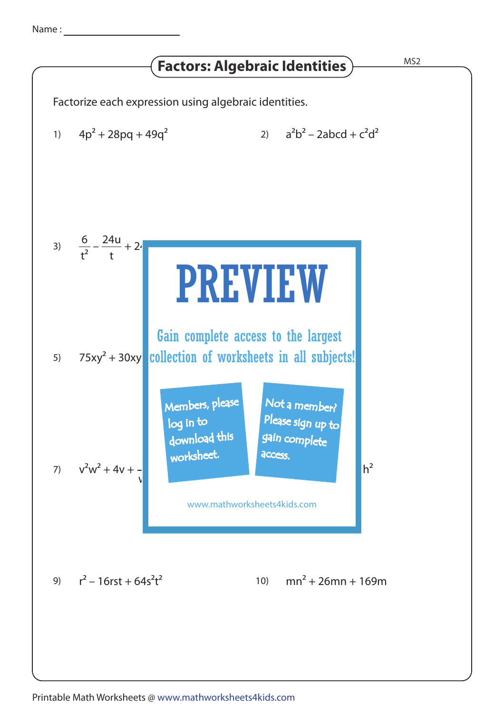